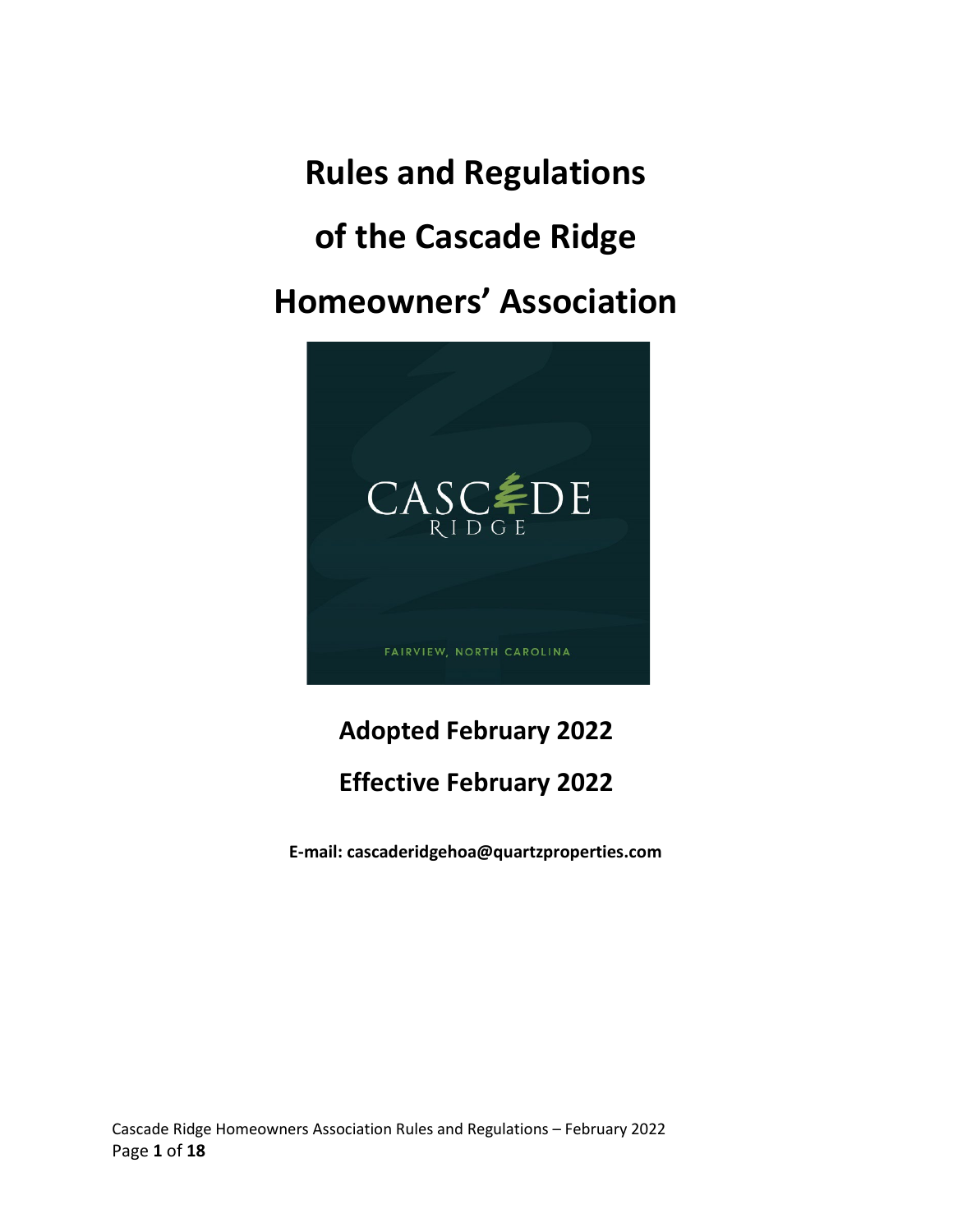**Rules and Regulations of the Cascade Ridge Homeowners' Association**



# **Adopted February 2022**

# **Effective February 2022**

**E-mail: cascaderidgehoa@quartzproperties.com**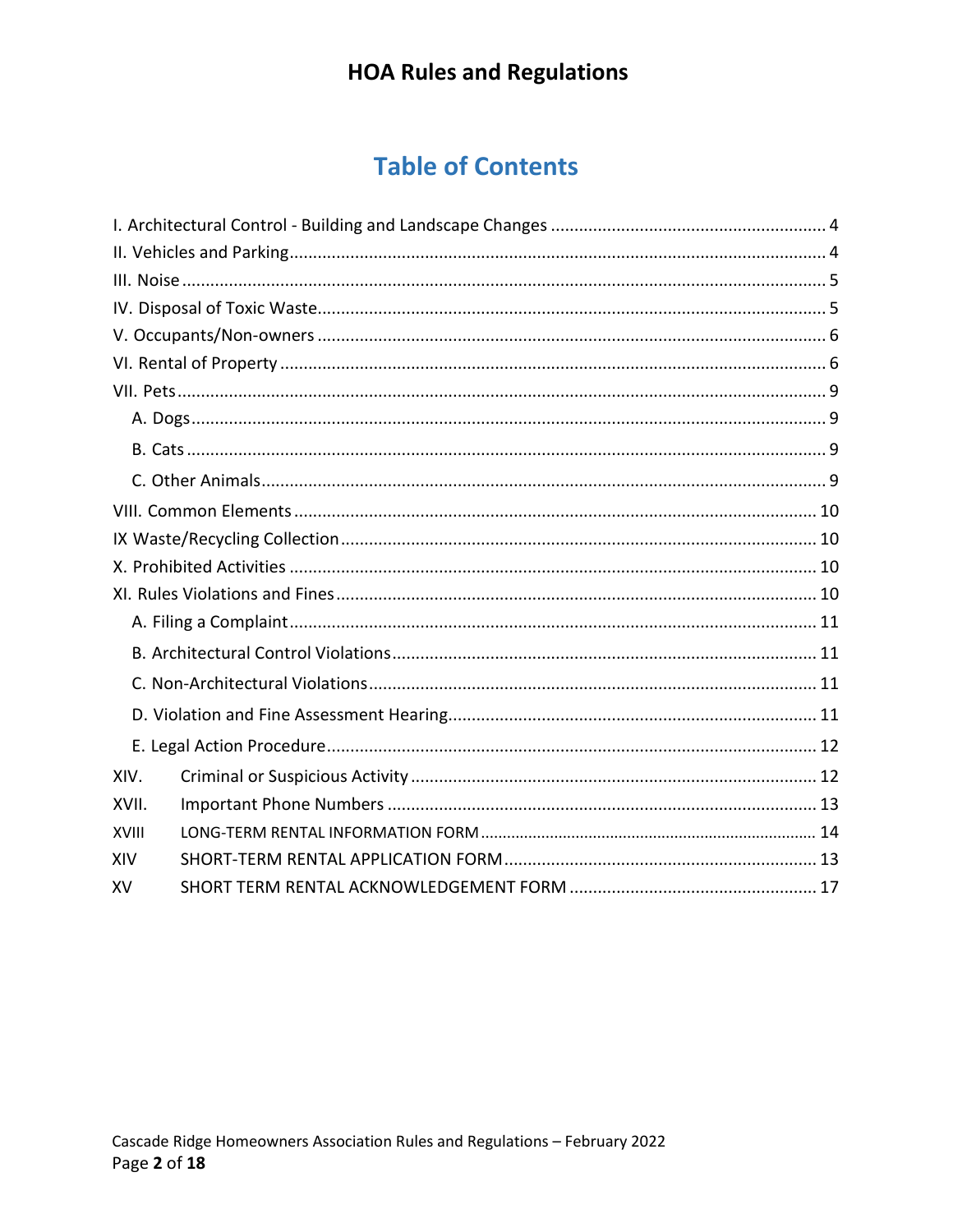# **Table of Contents**

| XIV.         |  |
|--------------|--|
| XVII.        |  |
| <b>XVIII</b> |  |
| XIV          |  |
| XV           |  |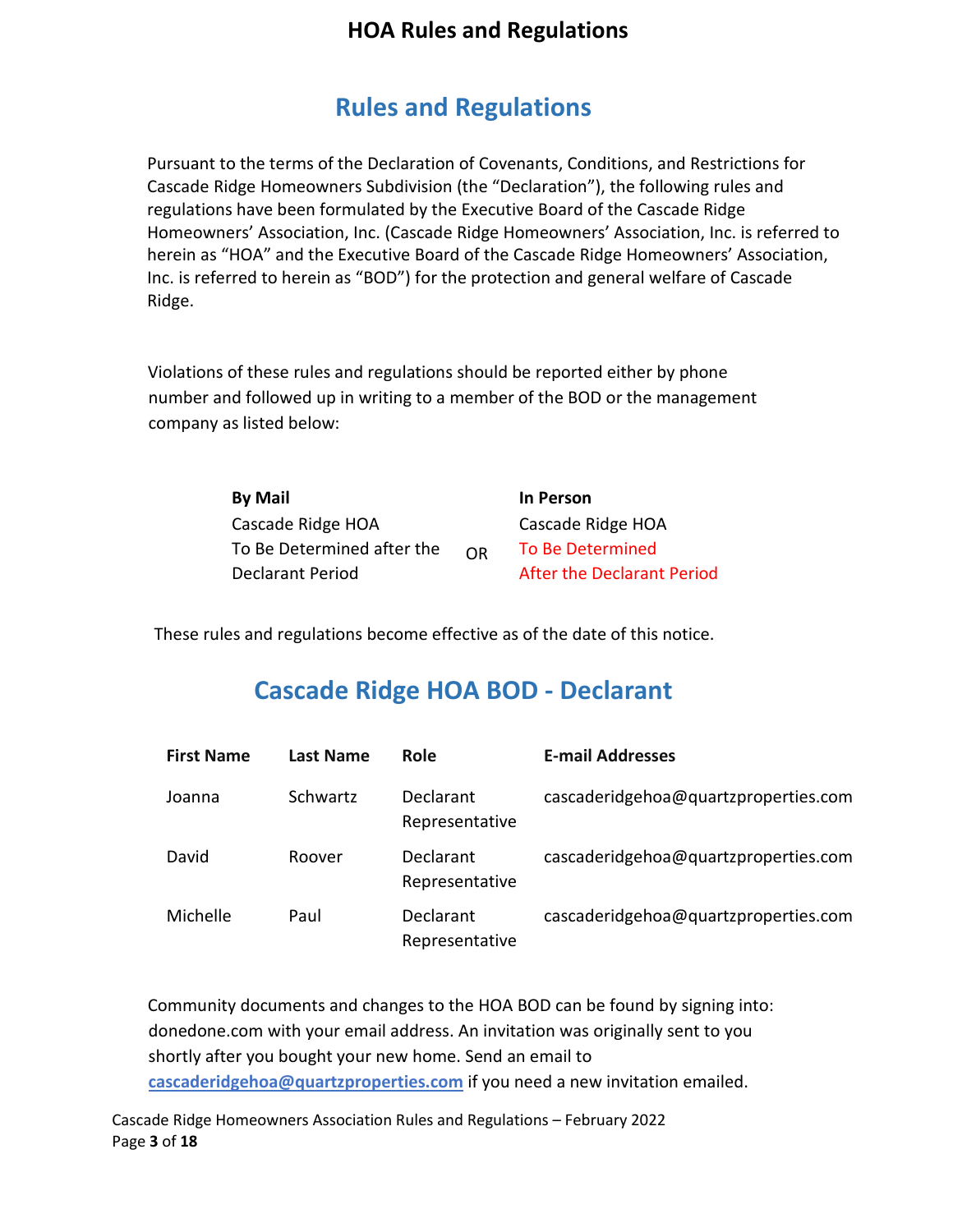## **Rules and Regulations**

Pursuant to the terms of the Declaration of Covenants, Conditions, and Restrictions for Cascade Ridge Homeowners Subdivision (the "Declaration"), the following rules and regulations have been formulated by the Executive Board of the Cascade Ridge Homeowners' Association, Inc. (Cascade Ridge Homeowners' Association, Inc. is referred to herein as "HOA" and the Executive Board of the Cascade Ridge Homeowners' Association, Inc. is referred to herein as "BOD") for the protection and general welfare of Cascade Ridge.

Violations of these rules and regulations should be reported either by phone number and followed up in writing to a member of the BOD or the management company as listed below:

| <b>By Mail</b>             |    | In Person                  |
|----------------------------|----|----------------------------|
| Cascade Ridge HOA          |    | Cascade Ridge HOA          |
| To Be Determined after the | OR | <b>To Be Determined</b>    |
| Declarant Period           |    | After the Declarant Period |

These rules and regulations become effective as of the date of this notice.

## **Cascade Ridge HOA BOD - Declarant**

| <b>First Name</b> | Last Name | Role                        | <b>E-mail Addresses</b>              |
|-------------------|-----------|-----------------------------|--------------------------------------|
| Joanna            | Schwartz  | Declarant<br>Representative | cascaderidgehoa@quartzproperties.com |
| David             | Roover    | Declarant<br>Representative | cascaderidgehoa@quartzproperties.com |
| Michelle          | Paul      | Declarant<br>Representative | cascaderidgehoa@quartzproperties.com |

Community documents and changes to the HOA BOD can be found by signing into: donedone.com with your email address. An invitation was originally sent to you shortly after you bought your new home. Send an email to **cascaderidgehoa@quartzproperties.com** if you need a new invitation emailed.

Cascade Ridge Homeowners Association Rules and Regulations – February 2022 Page **3** of **18**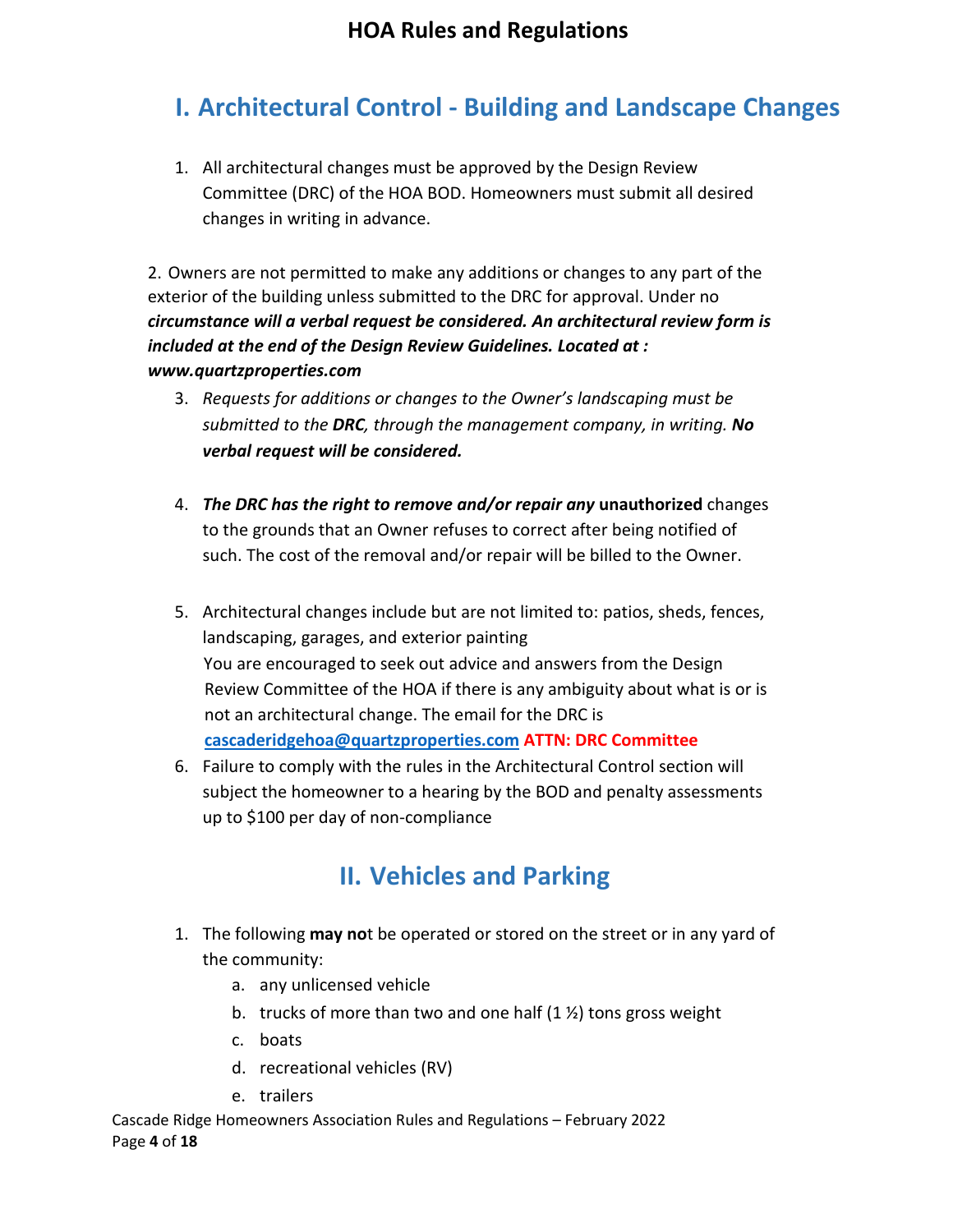# <span id="page-3-0"></span>**I. Architectural Control - Building and Landscape Changes**

1. All architectural changes must be approved by the Design Review Committee (DRC) of the HOA BOD. Homeowners must submit all desired changes in writing in advance.

2. Owners are not permitted to make any additions or changes to any part of the exterior of the building unless submitted to the DRC for approval. Under no *circumstance will a verbal request be considered. An architectural review form is included at the end of the Design Review Guidelines. Located at : www.quartzproperties.com*

- 3. *Requests for additions or changes to the Owner's landscaping must be submitted to the DRC, through the management company, in writing. No verbal request will be considered.*
- 4. *The DRC has the right to remove and/or repair any* **unauthorized** changes to the grounds that an Owner refuses to correct after being notified of such. The cost of the removal and/or repair will be billed to the Owner.
- 5. Architectural changes include but are not limited to: patios, sheds, fences, landscaping, garages, and exterior painting You are encouraged to seek out advice and answers from the Design Review Committee of the HOA if there is any ambiguity about what is or is not an architectural change. The email for the DRC is **[cascaderidgehoa@quartzproperties.com](mailto:cascaderidgehoa@quartzproperties.com) ATTN: DRC Committee**
- 6. Failure to comply with the rules in the Architectural Control section will subject the homeowner to a hearing by the BOD and penalty assessments up to \$100 per day of non-compliance

# **II. Vehicles and Parking**

- <span id="page-3-1"></span>1. The following **may no**t be operated or stored on the street or in any yard of the community:
	- a. any unlicensed vehicle
	- b. trucks of more than two and one half  $(1 \frac{1}{2})$  tons gross weight
	- c. boats
	- d. recreational vehicles (RV)
	- e. trailers

Cascade Ridge Homeowners Association Rules and Regulations – February 2022 Page **4** of **18**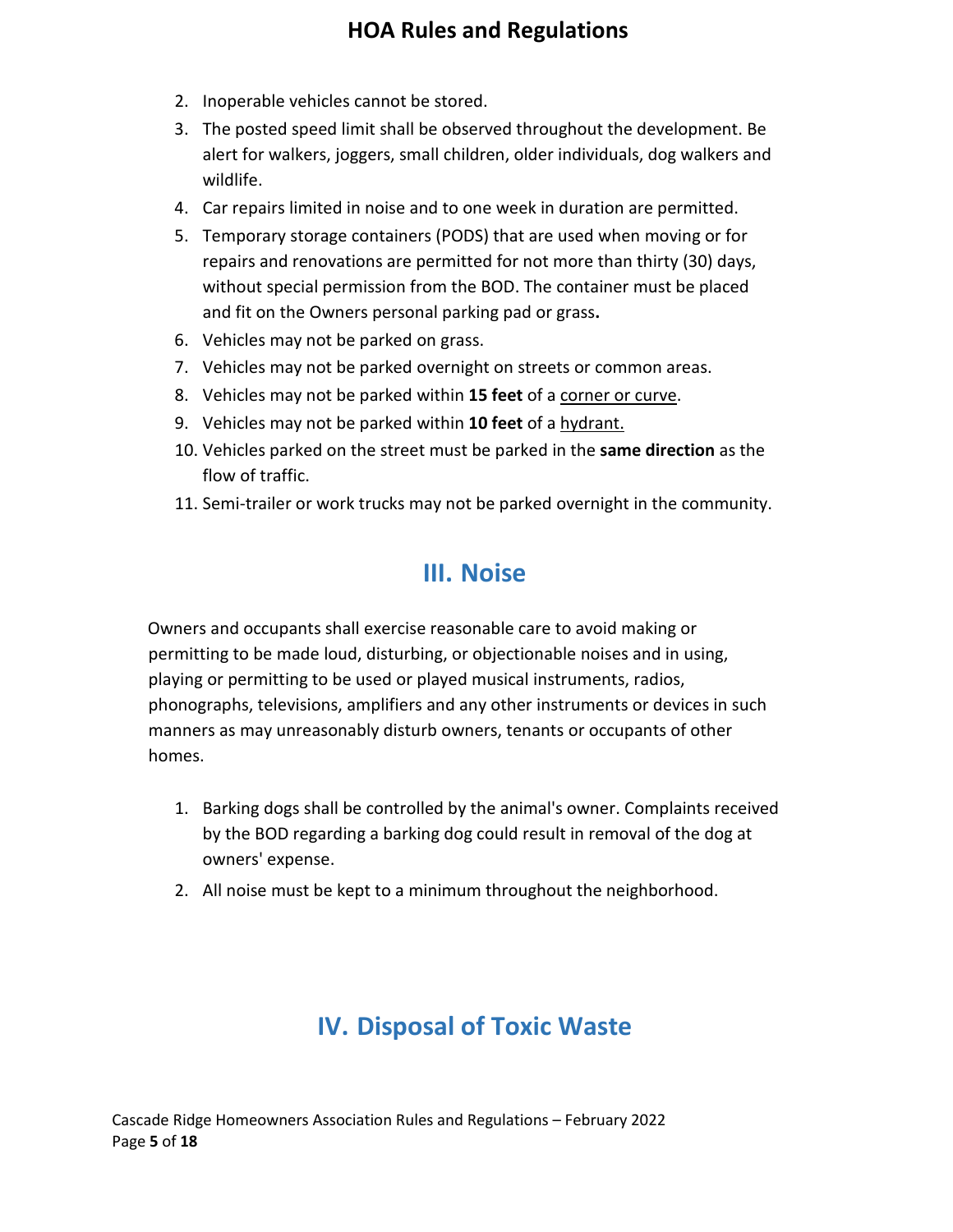- 2. Inoperable vehicles cannot be stored.
- 3. The posted speed limit shall be observed throughout the development. Be alert for walkers, joggers, small children, older individuals, dog walkers and wildlife.
- 4. Car repairs limited in noise and to one week in duration are permitted.
- 5. Temporary storage containers (PODS) that are used when moving or for repairs and renovations are permitted for not more than thirty (30) days, without special permission from the BOD. The container must be placed and fit on the Owners personal parking pad or grass**.**
- 6. Vehicles may not be parked on grass.
- 7. Vehicles may not be parked overnight on streets or common areas.
- 8. Vehicles may not be parked within **15 feet** of a corner or curve.
- 9. Vehicles may not be parked within **10 feet** of a hydrant.
- 10. Vehicles parked on the street must be parked in the **same direction** as the flow of traffic.
- 11. Semi-trailer or work trucks may not be parked overnight in the community.

## **III. Noise**

<span id="page-4-0"></span>Owners and occupants shall exercise reasonable care to avoid making or permitting to be made loud, disturbing, or objectionable noises and in using, playing or permitting to be used or played musical instruments, radios, phonographs, televisions, amplifiers and any other instruments or devices in such manners as may unreasonably disturb owners, tenants or occupants of other homes.

- 1. Barking dogs shall be controlled by the animal's owner. Complaints received by the BOD regarding a barking dog could result in removal of the dog at owners' expense.
- <span id="page-4-1"></span>2. All noise must be kept to a minimum throughout the neighborhood.

# **IV. Disposal of Toxic Waste**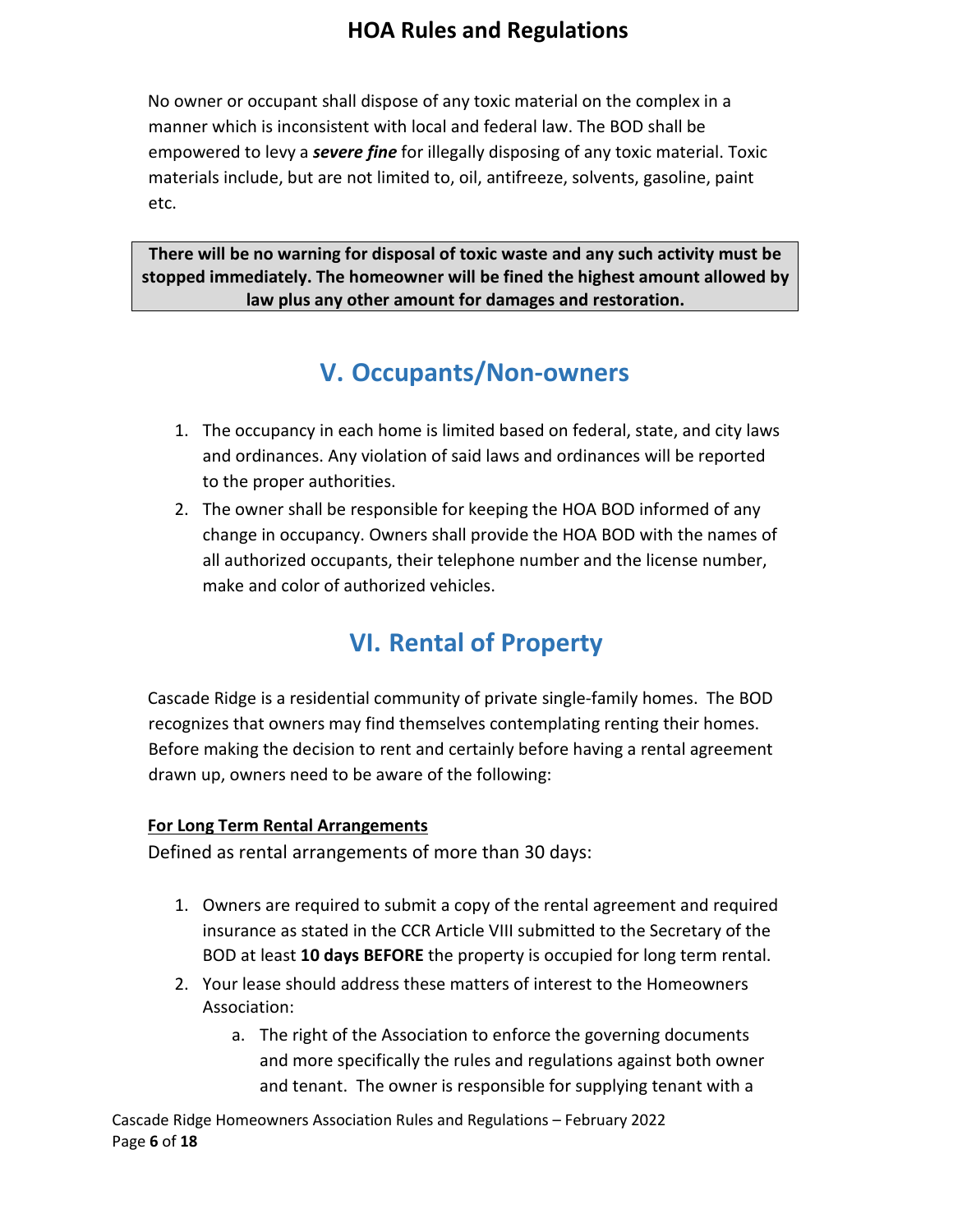No owner or occupant shall dispose of any toxic material on the complex in a manner which is inconsistent with local and federal law. The BOD shall be empowered to levy a *severe fine* for illegally disposing of any toxic material. Toxic materials include, but are not limited to, oil, antifreeze, solvents, gasoline, paint etc.

**There will be no warning for disposal of toxic waste and any such activity must be stopped immediately. The homeowner will be fined the highest amount allowed by law plus any other amount for damages and restoration.** 

# **V. Occupants/Non-owners**

- <span id="page-5-0"></span>1. The occupancy in each home is limited based on federal, state, and city laws and ordinances. Any violation of said laws and ordinances will be reported to the proper authorities.
- 2. The owner shall be responsible for keeping the HOA BOD informed of any change in occupancy. Owners shall provide the HOA BOD with the names of all authorized occupants, their telephone number and the license number, make and color of authorized vehicles.

# **VI. Rental of Property**

<span id="page-5-1"></span>Cascade Ridge is a residential community of private single-family homes. The BOD recognizes that owners may find themselves contemplating renting their homes. Before making the decision to rent and certainly before having a rental agreement drawn up, owners need to be aware of the following:

#### **For Long Term Rental Arrangements**

Defined as rental arrangements of more than 30 days:

- 1. Owners are required to submit a copy of the rental agreement and required insurance as stated in the CCR Article VIII submitted to the Secretary of the BOD at least **10 days BEFORE** the property is occupied for long term rental.
- 2. Your lease should address these matters of interest to the Homeowners Association:
	- a. The right of the Association to enforce the governing documents and more specifically the rules and regulations against both owner and tenant. The owner is responsible for supplying tenant with a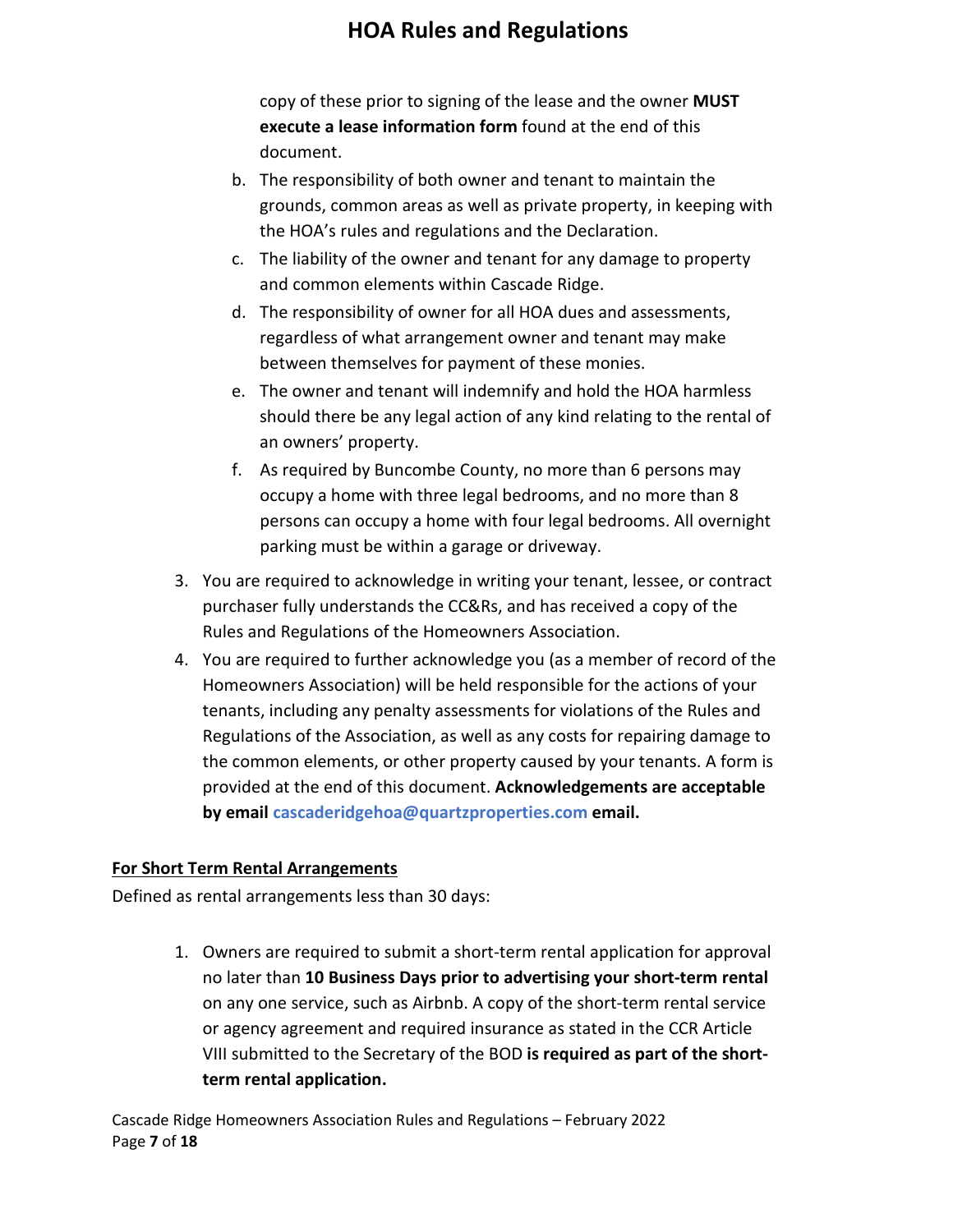copy of these prior to signing of the lease and the owner **MUST execute a lease information form** found at the end of this document.

- b. The responsibility of both owner and tenant to maintain the grounds, common areas as well as private property, in keeping with the HOA's rules and regulations and the Declaration.
- c. The liability of the owner and tenant for any damage to property and common elements within Cascade Ridge.
- d. The responsibility of owner for all HOA dues and assessments, regardless of what arrangement owner and tenant may make between themselves for payment of these monies.
- e. The owner and tenant will indemnify and hold the HOA harmless should there be any legal action of any kind relating to the rental of an owners' property.
- f. As required by Buncombe County, no more than 6 persons may occupy a home with three legal bedrooms, and no more than 8 persons can occupy a home with four legal bedrooms. All overnight parking must be within a garage or driveway.
- 3. You are required to acknowledge in writing your tenant, lessee, or contract purchaser fully understands the CC&Rs, and has received a copy of the Rules and Regulations of the Homeowners Association.
- 4. You are required to further acknowledge you (as a member of record of the Homeowners Association) will be held responsible for the actions of your tenants, including any penalty assessments for violations of the Rules and Regulations of the Association, as well as any costs for repairing damage to the common elements, or other property caused by your tenants. A form is provided at the end of this document. **Acknowledgements are acceptable by email cascaderidgehoa@quartzproperties.com email.**

#### **For Short Term Rental Arrangements**

Defined as rental arrangements less than 30 days:

1. Owners are required to submit a short-term rental application for approval no later than **10 Business Days prior to advertising your short-term rental** on any one service, such as Airbnb. A copy of the short-term rental service or agency agreement and required insurance as stated in the CCR Article VIII submitted to the Secretary of the BOD **is required as part of the shortterm rental application.**

Cascade Ridge Homeowners Association Rules and Regulations – February 2022 Page **7** of **18**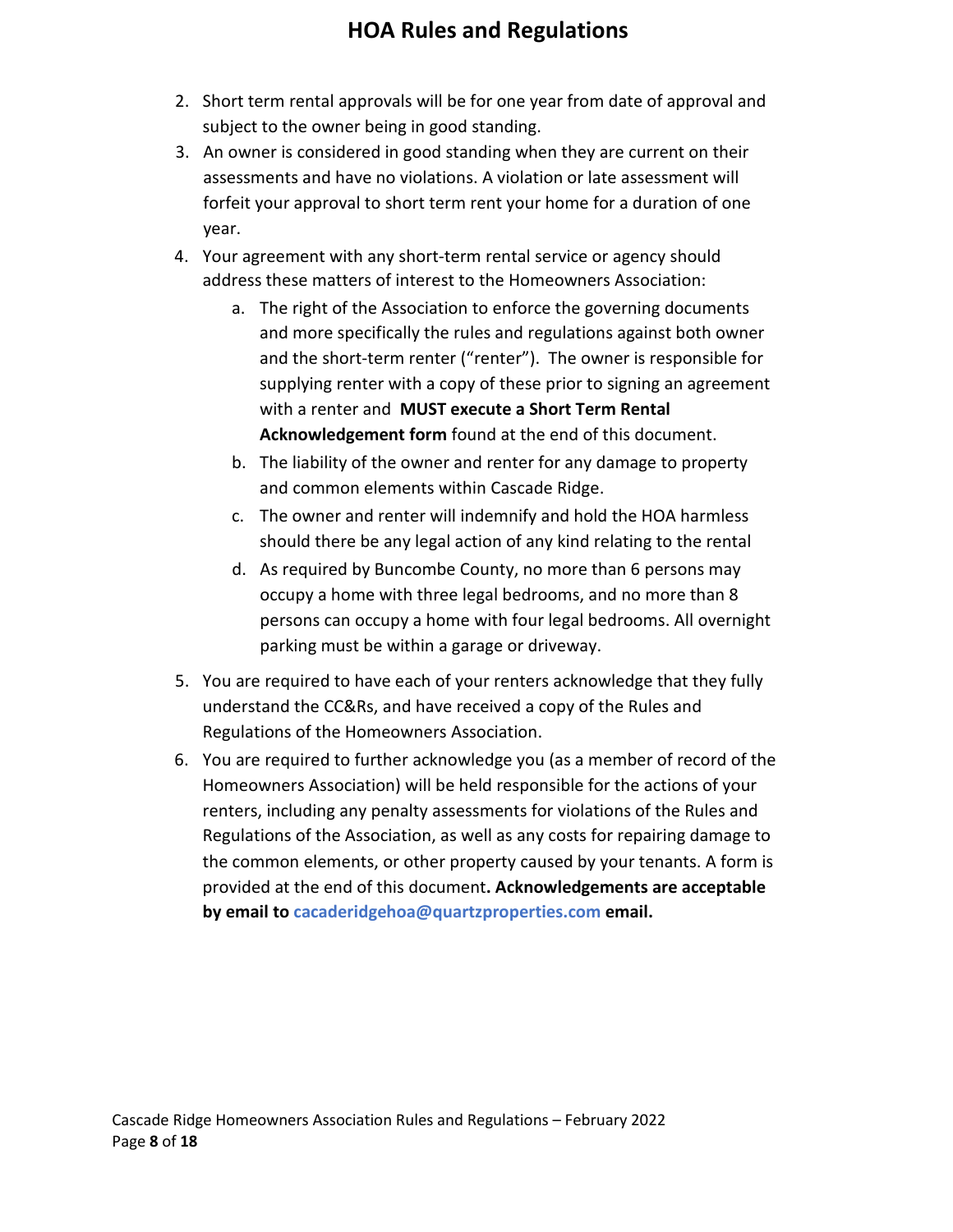- 2. Short term rental approvals will be for one year from date of approval and subject to the owner being in good standing.
- 3. An owner is considered in good standing when they are current on their assessments and have no violations. A violation or late assessment will forfeit your approval to short term rent your home for a duration of one year.
- 4. Your agreement with any short-term rental service or agency should address these matters of interest to the Homeowners Association:
	- a. The right of the Association to enforce the governing documents and more specifically the rules and regulations against both owner and the short-term renter ("renter"). The owner is responsible for supplying renter with a copy of these prior to signing an agreement with a renter and **MUST execute a Short Term Rental Acknowledgement form** found at the end of this document.
	- b. The liability of the owner and renter for any damage to property and common elements within Cascade Ridge.
	- c. The owner and renter will indemnify and hold the HOA harmless should there be any legal action of any kind relating to the rental
	- d. As required by Buncombe County, no more than 6 persons may occupy a home with three legal bedrooms, and no more than 8 persons can occupy a home with four legal bedrooms. All overnight parking must be within a garage or driveway.
- 5. You are required to have each of your renters acknowledge that they fully understand the CC&Rs, and have received a copy of the Rules and Regulations of the Homeowners Association.
- 6. You are required to further acknowledge you (as a member of record of the Homeowners Association) will be held responsible for the actions of your renters, including any penalty assessments for violations of the Rules and Regulations of the Association, as well as any costs for repairing damage to the common elements, or other property caused by your tenants. A form is provided at the end of this document**. Acknowledgements are acceptable by email to cacaderidgehoa@quartzproperties.com email.**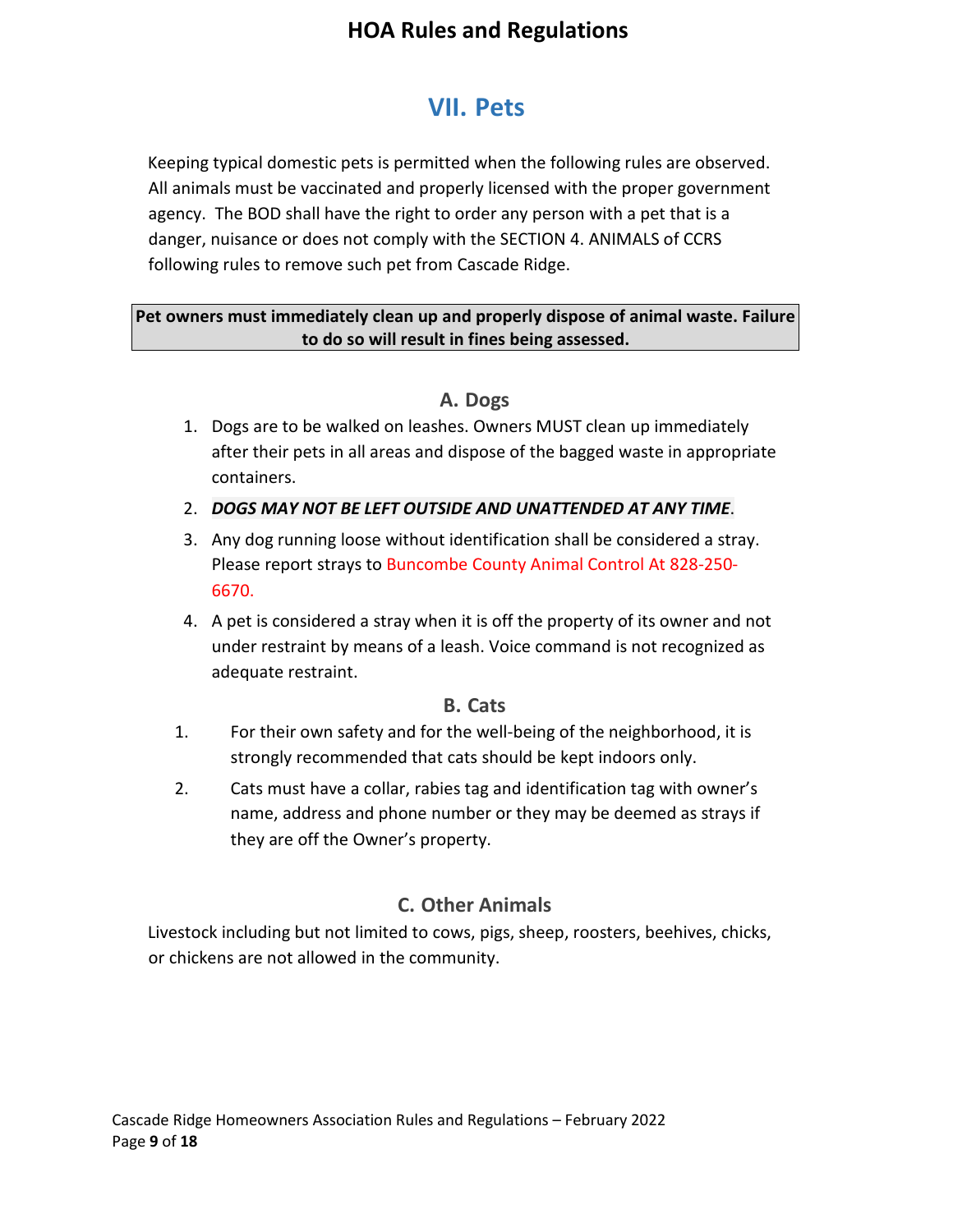# <span id="page-8-0"></span>**VII. Pets**

Keeping typical domestic pets is permitted when the following rules are observed. All animals must be vaccinated and properly licensed with the proper government agency. The BOD shall have the right to order any person with a pet that is a danger, nuisance or does not comply with the SECTION 4. ANIMALS of CCRS following rules to remove such pet from Cascade Ridge.

#### **Pet owners must immediately clean up and properly dispose of animal waste. Failure to do so will result in fines being assessed.**

#### **A. Dogs**

- <span id="page-8-1"></span>1. Dogs are to be walked on leashes. Owners MUST clean up immediately after their pets in all areas and dispose of the bagged waste in appropriate containers.
- 2. *DOGS MAY NOT BE LEFT OUTSIDE AND UNATTENDED AT ANY TIME*.
- 3. Any dog running loose without identification shall be considered a stray. Please report strays to Buncombe County Animal Control At 828-250- 6670.
- 4. A pet is considered a stray when it is off the property of its owner and not under restraint by means of a leash. Voice command is not recognized as adequate restraint.

#### **B. Cats**

- <span id="page-8-2"></span>1. For their own safety and for the well-being of the neighborhood, it is strongly recommended that cats should be kept indoors only.
- 2. Cats must have a collar, rabies tag and identification tag with owner's name, address and phone number or they may be deemed as strays if they are off the Owner's property.

#### **C. Other Animals**

<span id="page-8-3"></span>Livestock including but not limited to cows, pigs, sheep, roosters, beehives, chicks, or chickens are not allowed in the community.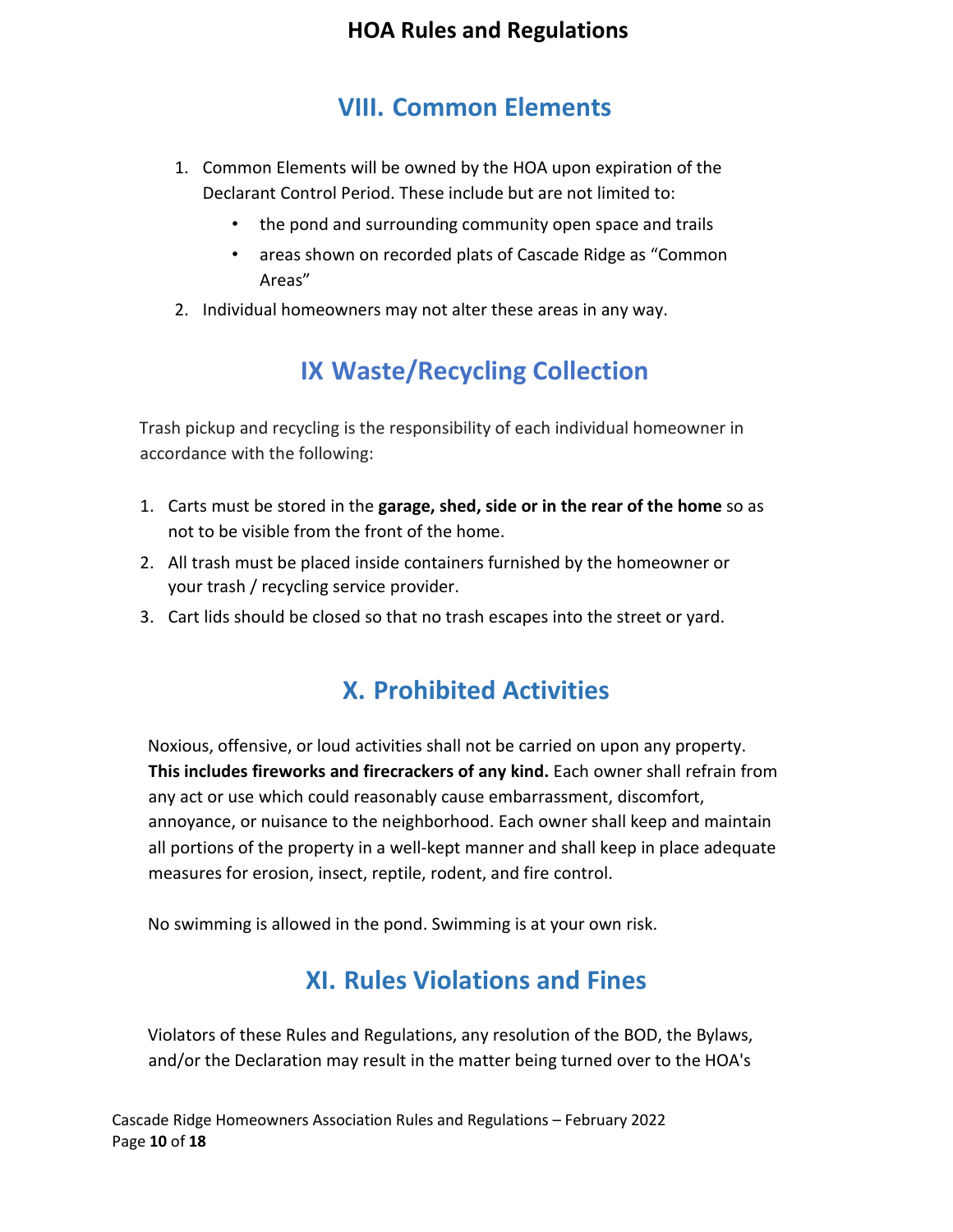## **VIII. Common Elements**

- <span id="page-9-0"></span>1. Common Elements will be owned by the HOA upon expiration of the Declarant Control Period. These include but are not limited to:
	- the pond and surrounding community open space and trails
	- areas shown on recorded plats of Cascade Ridge as "Common Areas"
- 2. Individual homeowners may not alter these areas in any way.

# **IX Waste/Recycling Collection**

<span id="page-9-1"></span>Trash pickup and recycling is the responsibility of each individual homeowner in accordance with the following:

- 1. Carts must be stored in the **garage, shed, side or in the rear of the home** so as not to be visible from the front of the home.
- 2. All trash must be placed inside containers furnished by the homeowner or your trash / recycling service provider.
- <span id="page-9-2"></span>3. Cart lids should be closed so that no trash escapes into the street or yard.

# **X. Prohibited Activities**

Noxious, offensive, or loud activities shall not be carried on upon any property. **This includes fireworks and firecrackers of any kind.** Each owner shall refrain from any act or use which could reasonably cause embarrassment, discomfort, annoyance, or nuisance to the neighborhood. Each owner shall keep and maintain all portions of the property in a well-kept manner and shall keep in place adequate measures for erosion, insect, reptile, rodent, and fire control.

<span id="page-9-3"></span>No swimming is allowed in the pond. Swimming is at your own risk.

# **XI. Rules Violations and Fines**

Violators of these Rules and Regulations, any resolution of the BOD, the Bylaws, and/or the Declaration may result in the matter being turned over to the HOA's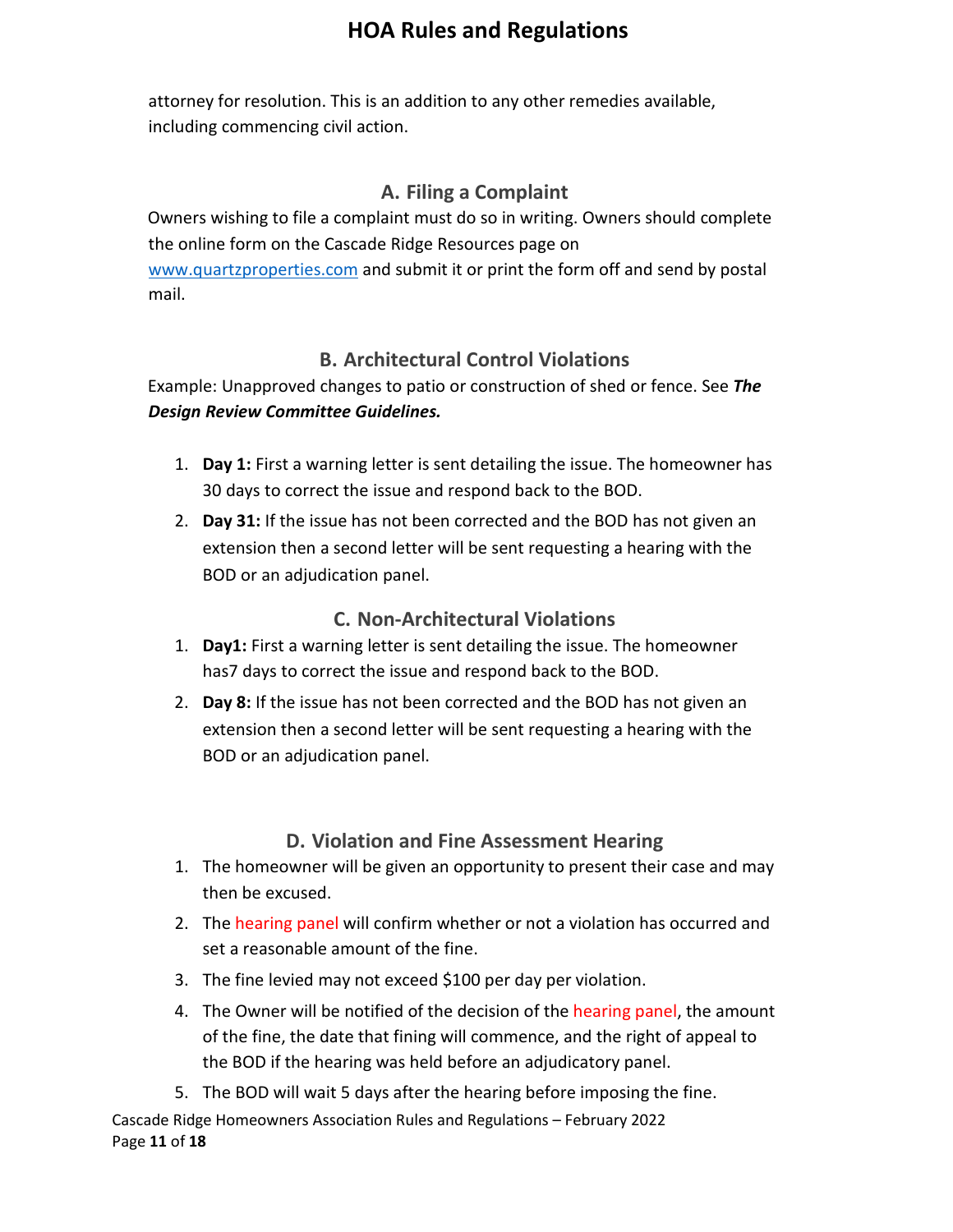attorney for resolution. This is an addition to any other remedies available, including commencing civil action.

#### **A. Filing a Complaint**

<span id="page-10-0"></span>Owners wishing to file a complaint must do so in writing. Owners should complete the online form on the Cascade Ridge Resources page on [www.quartzproperties.com](http://www.quartzproperties.com/) and submit it or print the form off and send by postal mail.

#### **B. Architectural Control Violations**

<span id="page-10-1"></span>Example: Unapproved changes to patio or construction of shed or fence. See *The Design Review Committee Guidelines.*

- 1. **Day 1:** First a warning letter is sent detailing the issue. The homeowner has 30 days to correct the issue and respond back to the BOD.
- 2. **Day 31:** If the issue has not been corrected and the BOD has not given an extension then a second letter will be sent requesting a hearing with the BOD or an adjudication panel.

#### **C. Non-Architectural Violations**

- <span id="page-10-2"></span>1. **Day1:** First a warning letter is sent detailing the issue. The homeowner has7 days to correct the issue and respond back to the BOD.
- 2. **Day 8:** If the issue has not been corrected and the BOD has not given an extension then a second letter will be sent requesting a hearing with the BOD or an adjudication panel.

#### **D. Violation and Fine Assessment Hearing**

- <span id="page-10-3"></span>1. The homeowner will be given an opportunity to present their case and may then be excused.
- 2. The hearing panel will confirm whether or not a violation has occurred and set a reasonable amount of the fine.
- 3. The fine levied may not exceed \$100 per day per violation.
- 4. The Owner will be notified of the decision of the hearing panel, the amount of the fine, the date that fining will commence, and the right of appeal to the BOD if the hearing was held before an adjudicatory panel.
- 5. The BOD will wait 5 days after the hearing before imposing the fine.

Cascade Ridge Homeowners Association Rules and Regulations – February 2022 Page **11** of **18**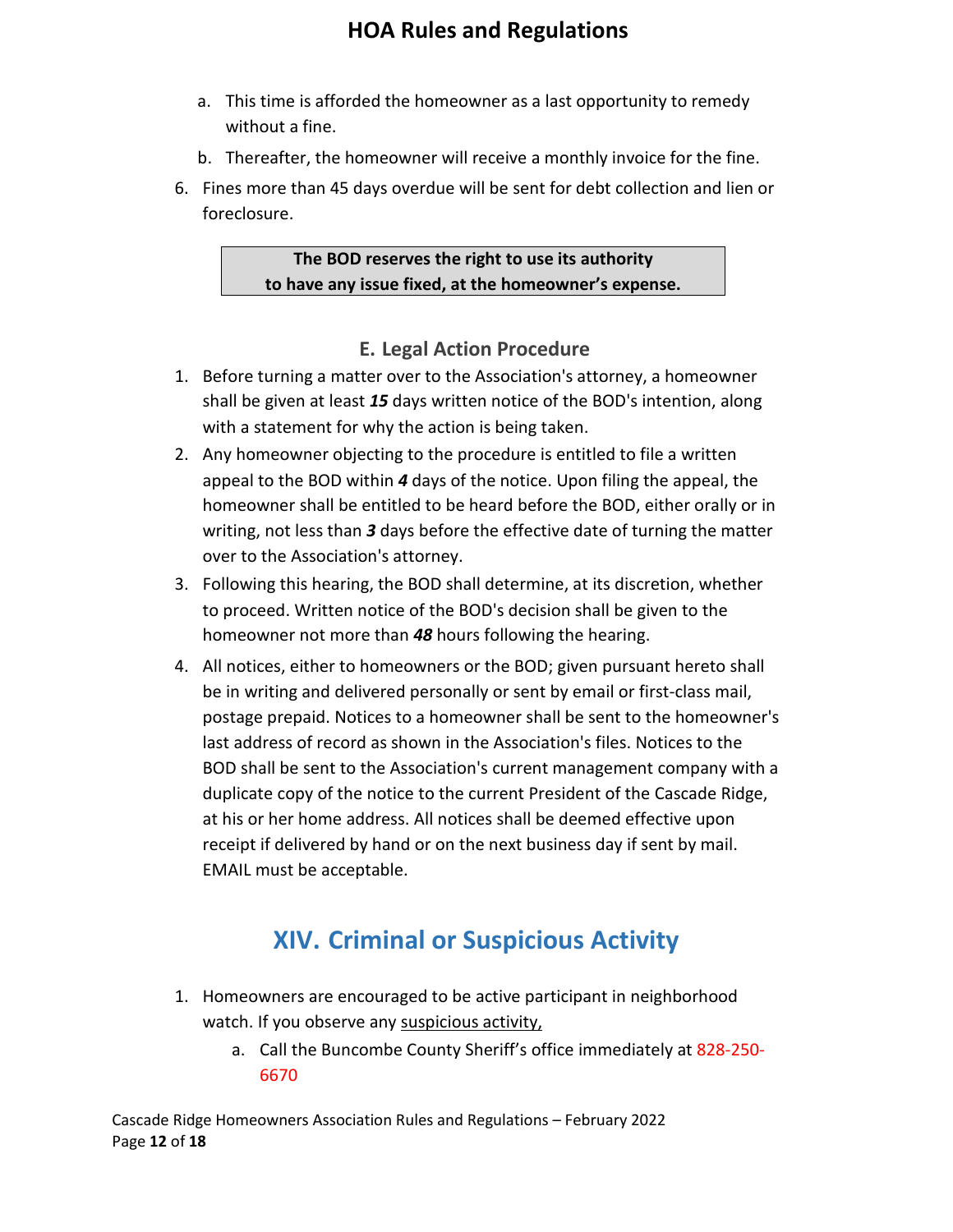- a. This time is afforded the homeowner as a last opportunity to remedy without a fine.
- b. Thereafter, the homeowner will receive a monthly invoice for the fine.
- 6. Fines more than 45 days overdue will be sent for debt collection and lien or foreclosure.

#### **The BOD reserves the right to use its authority to have any issue fixed, at the homeowner's expense.**

#### **E. Legal Action Procedure**

- <span id="page-11-0"></span>1. Before turning a matter over to the Association's attorney, a homeowner shall be given at least *15* days written notice of the BOD's intention, along with a statement for why the action is being taken.
- 2. Any homeowner objecting to the procedure is entitled to file a written appeal to the BOD within *4* days of the notice. Upon filing the appeal, the homeowner shall be entitled to be heard before the BOD, either orally or in writing, not less than *3* days before the effective date of turning the matter over to the Association's attorney.
- 3. Following this hearing, the BOD shall determine, at its discretion, whether to proceed. Written notice of the BOD's decision shall be given to the homeowner not more than *48* hours following the hearing.
- 4. All notices, either to homeowners or the BOD; given pursuant hereto shall be in writing and delivered personally or sent by email or first-class mail, postage prepaid. Notices to a homeowner shall be sent to the homeowner's last address of record as shown in the Association's files. Notices to the BOD shall be sent to the Association's current management company with a duplicate copy of the notice to the current President of the Cascade Ridge, at his or her home address. All notices shall be deemed effective upon receipt if delivered by hand or on the next business day if sent by mail. EMAIL must be acceptable.

# **XIV. Criminal or Suspicious Activity**

- <span id="page-11-1"></span>1. Homeowners are encouraged to be active participant in neighborhood watch. If you observe any suspicious activity,
	- a. Call the Buncombe County Sheriff's office immediately at 828-250- 6670

Cascade Ridge Homeowners Association Rules and Regulations – February 2022 Page **12** of **18**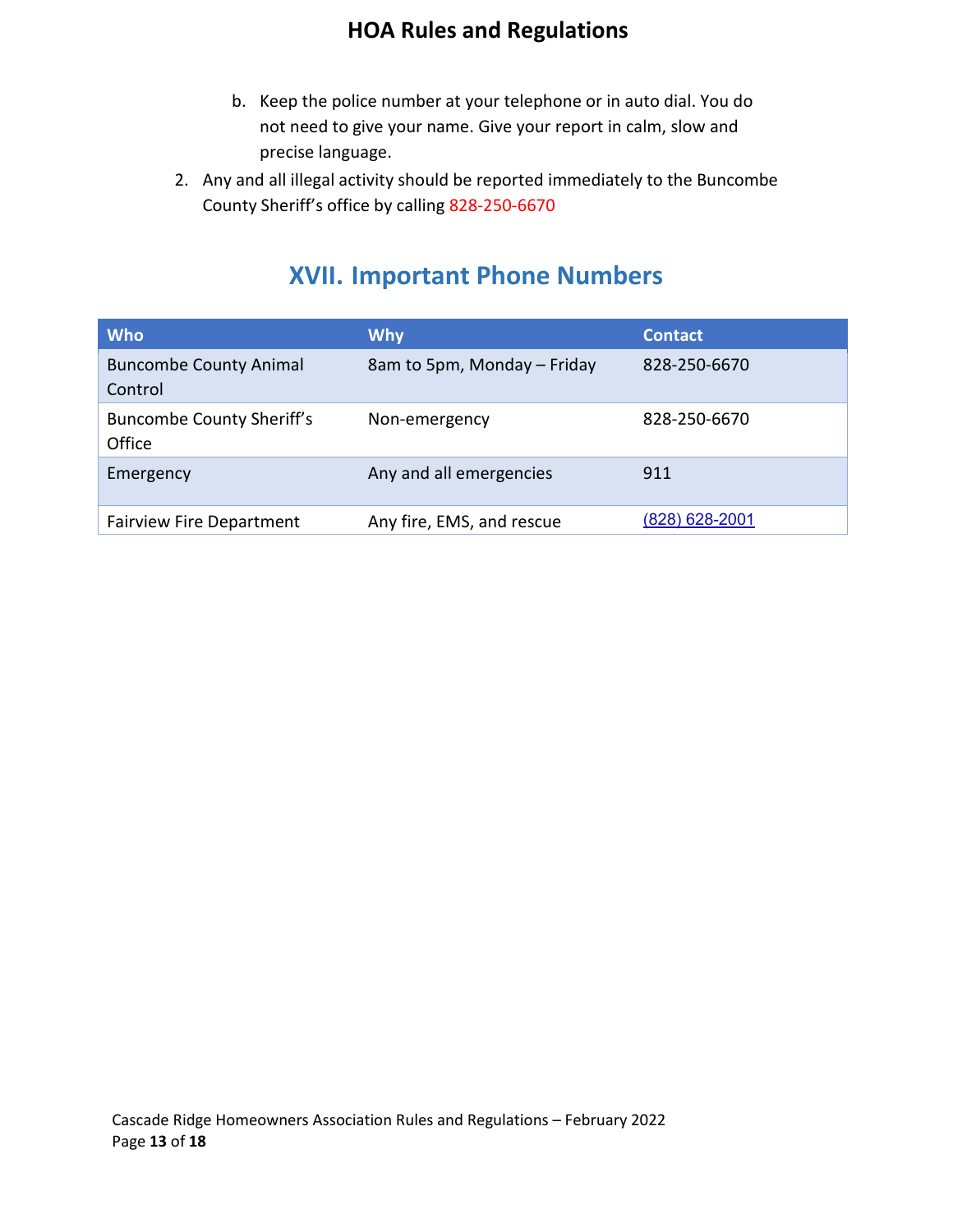- b. Keep the police number at your telephone or in auto dial. You do not need to give your name. Give your report in calm, slow and precise language.
- 2. Any and all illegal activity should be reported immediately to the Buncombe County Sheriff's office by calling 828-250-6670

## **XVII. Important Phone Numbers**

<span id="page-12-0"></span>

| <b>Who</b>                                 | <b>Why</b>                  | <b>Contact</b> |
|--------------------------------------------|-----------------------------|----------------|
| <b>Buncombe County Animal</b><br>Control   | 8am to 5pm, Monday – Friday | 828-250-6670   |
| <b>Buncombe County Sheriff's</b><br>Office | Non-emergency               | 828-250-6670   |
| Emergency                                  | Any and all emergencies     | 911            |
| <b>Fairview Fire Department</b>            | Any fire, EMS, and rescue   | (828) 628-2001 |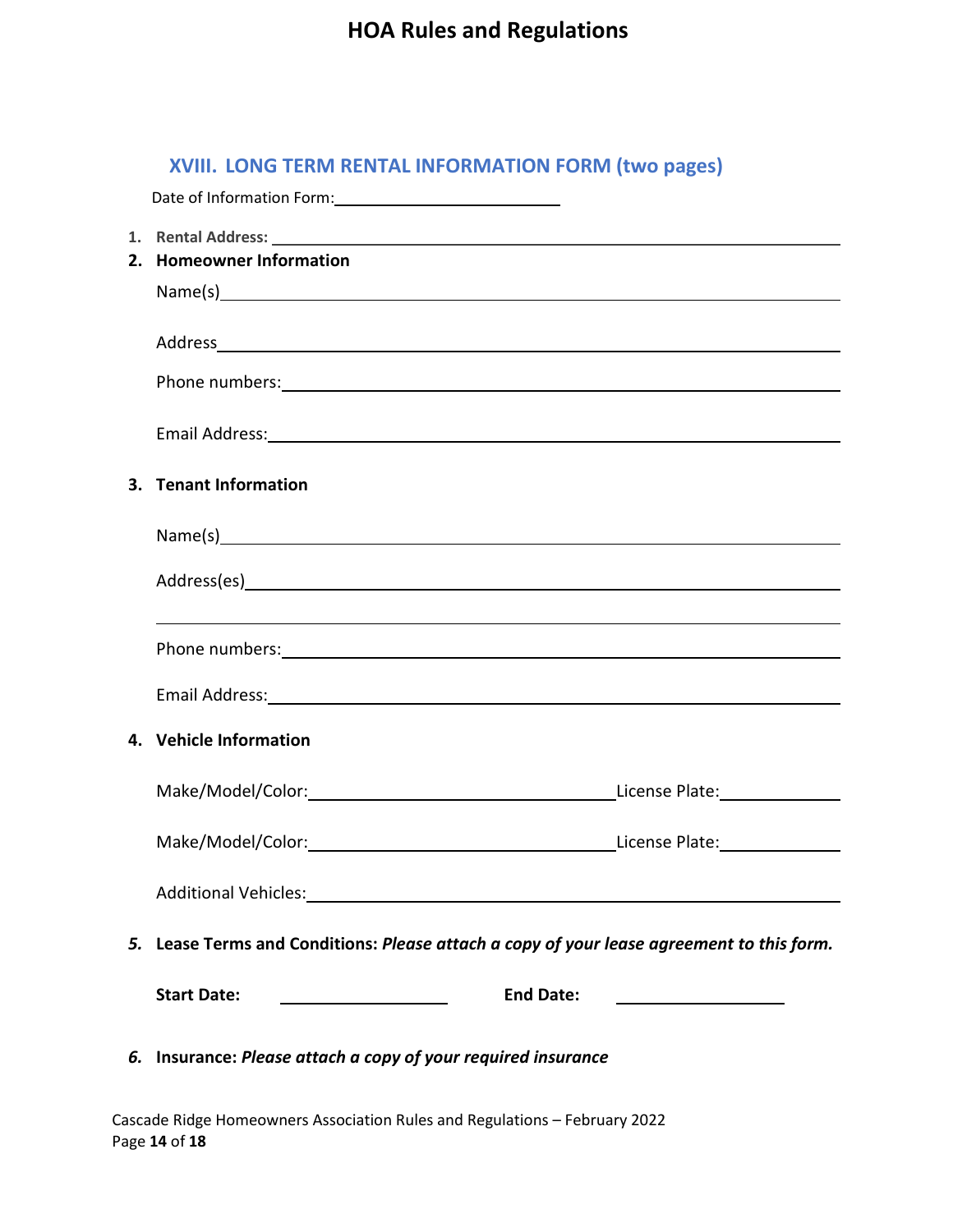#### **XVIII. LONG TERM RENTAL INFORMATION FORM (two pages)**

| Date of Information Form: 1997                                  |                                                                                                                                                                                                                                |
|-----------------------------------------------------------------|--------------------------------------------------------------------------------------------------------------------------------------------------------------------------------------------------------------------------------|
|                                                                 | 1. Rental Address: 1988 and 2008 and 2008 and 2008 and 2008 and 2008 and 2008 and 2008 and 2008 and 2008 and 2008 and 2008 and 2008 and 2008 and 2008 and 2008 and 2008 and 2008 and 2008 and 2008 and 2008 and 2008 and 2008  |
| 2. Homeowner Information                                        |                                                                                                                                                                                                                                |
|                                                                 | Name(s)                                                                                                                                                                                                                        |
|                                                                 | Address and the contract of the contract of the contract of the contract of the contract of the contract of the                                                                                                                |
|                                                                 | Phone numbers: example and a series of the series of the series of the series of the series of the series of the series of the series of the series of the series of the series of the series of the series of the series of t |
|                                                                 | Email Address: No. 2014 19:30 19:30 19:30 19:30 19:30 19:30 19:30 19:30 19:30 19:30 19:30 19:30 19:30 19:30 19:30 19:30 19:30 19:30 19:30 19:30 19:30 19:30 19:30 19:30 19:30 19:30 19:30 19:30 19:30 19:30 19:30 19:30 19:30  |
| 3. Tenant Information                                           |                                                                                                                                                                                                                                |
|                                                                 | Name(s) example and the contract of the contract of the contract of the contract of the contract of the contract of the contract of the contract of the contract of the contract of the contract of the contract of the contra |
|                                                                 |                                                                                                                                                                                                                                |
|                                                                 |                                                                                                                                                                                                                                |
|                                                                 | Phone numbers: example and a series of the series of the series of the series of the series of the series of the series of the series of the series of the series of the series of the series of the series of the series of t |
|                                                                 | Email Address: 1988 and 2008 and 2008 and 2008 and 2008 and 2008 and 2008 and 2008 and 2008 and 2008 and 2008                                                                                                                  |
| 4. Vehicle Information                                          |                                                                                                                                                                                                                                |
|                                                                 |                                                                                                                                                                                                                                |
|                                                                 |                                                                                                                                                                                                                                |
| Additional Vehicles: National Service of Additional Vehicles:   |                                                                                                                                                                                                                                |
|                                                                 | 5. Lease Terms and Conditions: Please attach a copy of your lease agreement to this form.                                                                                                                                      |
| <b>Start Date:</b><br><u> 1980 - Johann Barn, mars et al. (</u> | <b>End Date:</b><br><u> 1989 - Johann Barbara, martxa alemaniar a</u>                                                                                                                                                          |
| 6. Insurance: Please attach a copy of your required insurance   |                                                                                                                                                                                                                                |

Cascade Ridge Homeowners Association Rules and Regulations – February 2022 Page **14** of **18**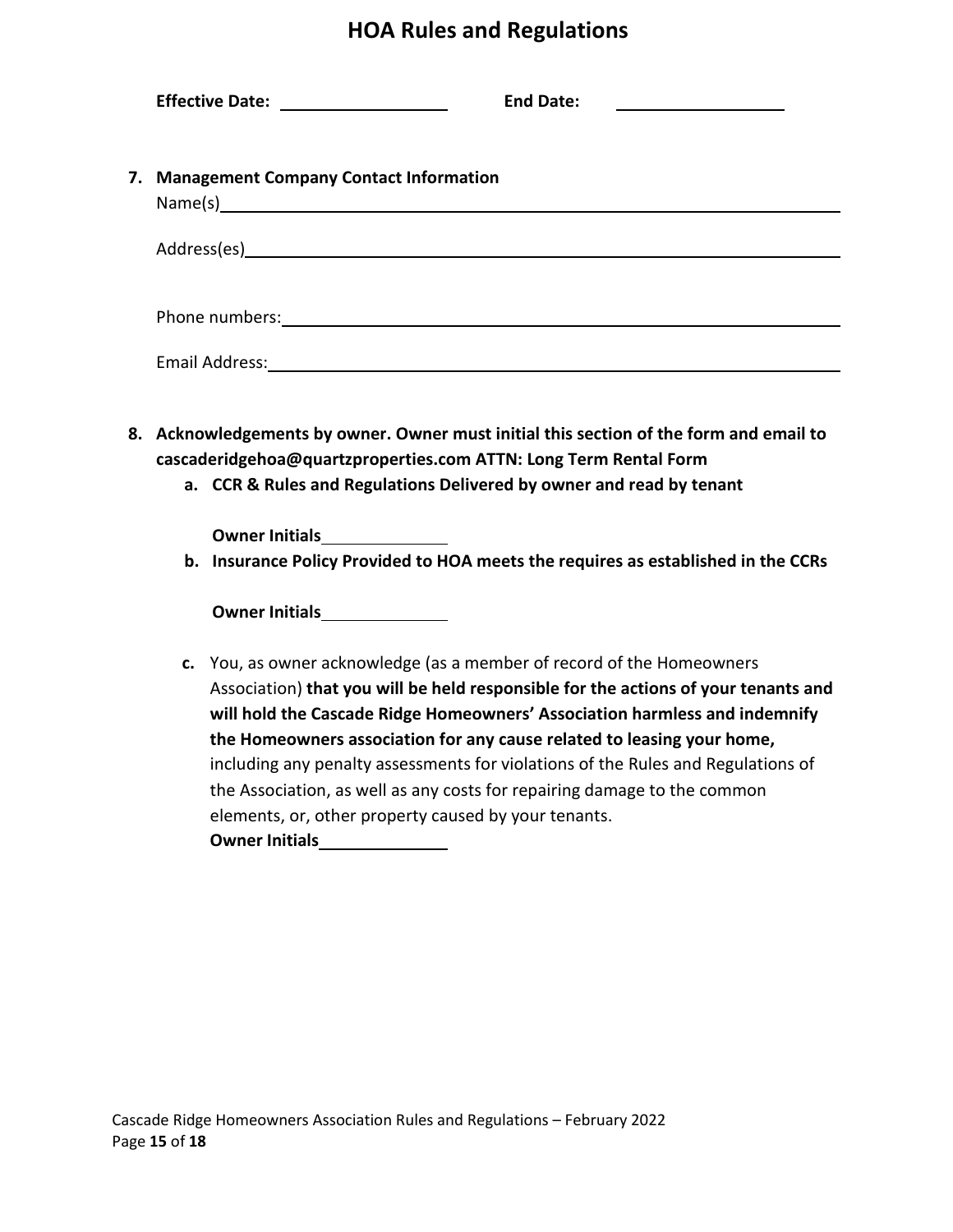|    | Effective Date: ___________________<br><b>End Date:</b>                                                                                                                                                                                                                                                             |
|----|---------------------------------------------------------------------------------------------------------------------------------------------------------------------------------------------------------------------------------------------------------------------------------------------------------------------|
| 7. | <b>Management Company Contact Information</b>                                                                                                                                                                                                                                                                       |
|    |                                                                                                                                                                                                                                                                                                                     |
|    | Phone numbers: example and a series of the series of the series of the series of the series of the series of the series of the series of the series of the series of the series of the series of the series of the series of t                                                                                      |
|    |                                                                                                                                                                                                                                                                                                                     |
|    | 8. Acknowledgements by owner. Owner must initial this section of the form and email to<br>cascaderidgehoa@quartzproperties.com ATTN: Long Term Rental Form<br>a. CCR & Rules and Regulations Delivered by owner and read by tenant                                                                                  |
|    | Owner Initials________________<br>b. Insurance Policy Provided to HOA meets the requires as established in the CCRs                                                                                                                                                                                                 |
|    |                                                                                                                                                                                                                                                                                                                     |
|    | c. You, as owner acknowledge (as a member of record of the Homeowners<br>Association) that you will be held responsible for the actions of your tenants and<br>will hold the Cascade Ridge Homeowners' Association harmless and indemnify<br>the Homeowners association for any cause related to leasing your home, |

including any penalty assessments for violations of the Rules and Regulations of the Association, as well as any costs for repairing damage to the common elements, or, other property caused by your tenants.

**Owner Initials**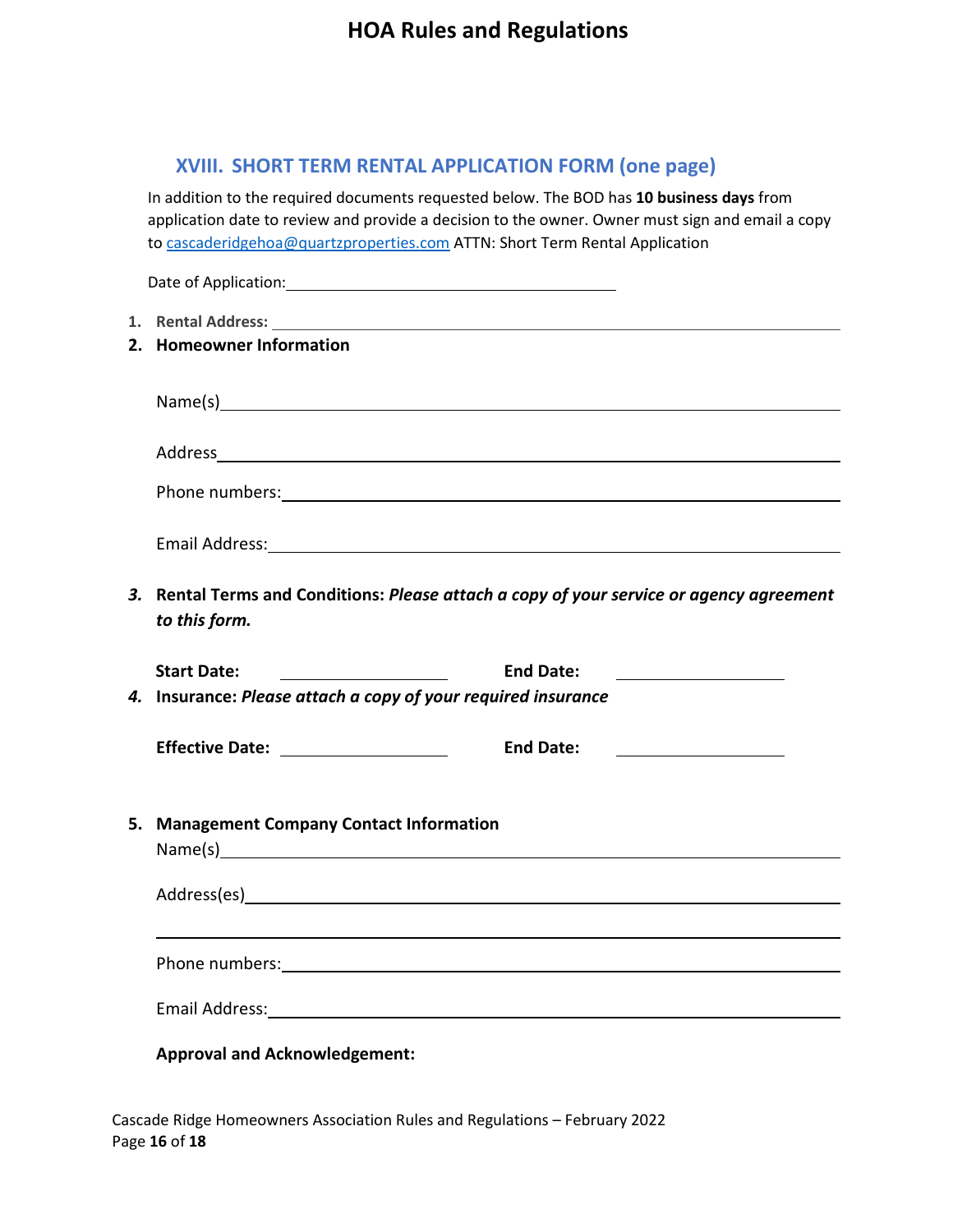#### **XVIII. SHORT TERM RENTAL APPLICATION FORM (one page)**

In addition to the required documents requested below. The BOD has **10 business days** from application date to review and provide a decision to the owner. Owner must sign and email a copy to [cascaderidgehoa@quartzproperties.com](mailto:cascaderidgehoa@quartzproperties.com) ATTN: Short Term Rental Application

| 2. Homeowner Information                                                                                                                                                                                                       |                                                                                                                                           |
|--------------------------------------------------------------------------------------------------------------------------------------------------------------------------------------------------------------------------------|-------------------------------------------------------------------------------------------------------------------------------------------|
|                                                                                                                                                                                                                                |                                                                                                                                           |
| Address and the contract of the contract of the contract of the contract of the contract of the contract of the contract of the contract of the contract of the contract of the contract of the contract of the contract of th |                                                                                                                                           |
| Phone numbers: example and a series of the series of the series of the series of the series of the series of the series of the series of the series of the series of the series of the series of the series of the series of t |                                                                                                                                           |
|                                                                                                                                                                                                                                |                                                                                                                                           |
| 3. Rental Terms and Conditions: Please attach a copy of your service or agency agreement<br>to this form.                                                                                                                      |                                                                                                                                           |
|                                                                                                                                                                                                                                |                                                                                                                                           |
| <b>Start Date:</b>                                                                                                                                                                                                             | <b>End Date:</b><br><u> 1990 - John Stein, mars and de Brandenburg and de Brandenburg and de Brandenburg and de Brandenburg and de Br</u> |
| 4. Insurance: Please attach a copy of your required insurance                                                                                                                                                                  |                                                                                                                                           |
| Effective Date: ____________________                                                                                                                                                                                           | <b>End Date:</b>                                                                                                                          |
| 5. Management Company Contact Information                                                                                                                                                                                      |                                                                                                                                           |
|                                                                                                                                                                                                                                |                                                                                                                                           |
|                                                                                                                                                                                                                                |                                                                                                                                           |
| Email Address: No. 1996. The Contract of the Contract of the Contract of the Contract of the Contract of the Contract of the Contract of the Contract of the Contract of the Contract of the Contract of the Contract of the C |                                                                                                                                           |
| <b>Approval and Acknowledgement:</b>                                                                                                                                                                                           |                                                                                                                                           |

Cascade Ridge Homeowners Association Rules and Regulations – February 2022 Page **16** of **18**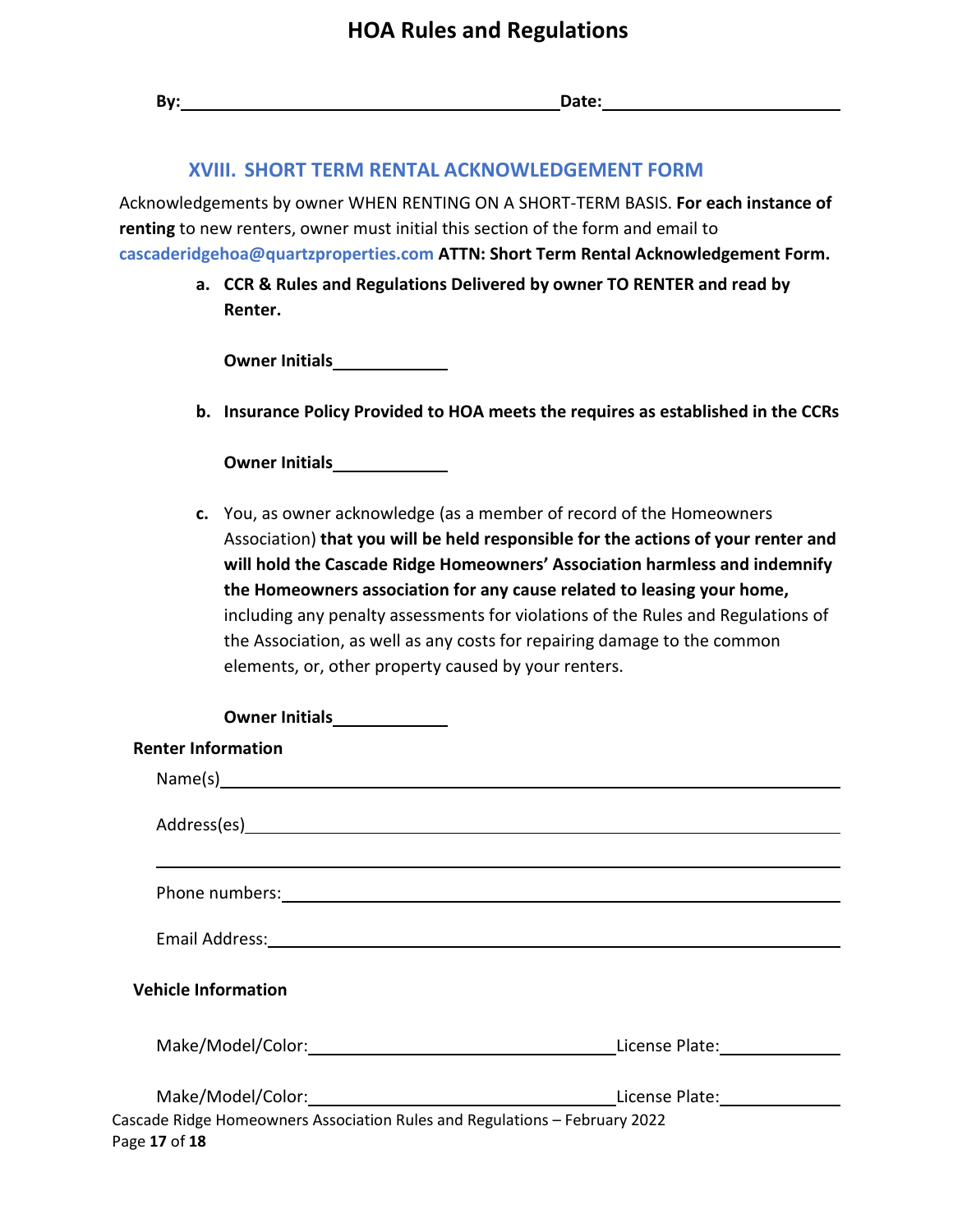| By: the contract of the contract of the contract of the contract of the contract of the contract of the contract of the contract of the contract of the contract of the contract of the contract of the contract of the contra<br>Date: and the contract of the contract of the contract of the contract of the contract of the contract of the contract of the contract of the contract of the contract of the contract of the contract of the contract of the                                                                            |
|--------------------------------------------------------------------------------------------------------------------------------------------------------------------------------------------------------------------------------------------------------------------------------------------------------------------------------------------------------------------------------------------------------------------------------------------------------------------------------------------------------------------------------------------|
| <b>XVIII. SHORT TERM RENTAL ACKNOWLEDGEMENT FORM</b>                                                                                                                                                                                                                                                                                                                                                                                                                                                                                       |
| Acknowledgements by owner WHEN RENTING ON A SHORT-TERM BASIS. For each instance of<br>renting to new renters, owner must initial this section of the form and email to<br>cascaderidgehoa@quartzproperties.com ATTN: Short Term Rental Acknowledgement Form.                                                                                                                                                                                                                                                                               |
| a. CCR & Rules and Regulations Delivered by owner TO RENTER and read by<br>Renter.                                                                                                                                                                                                                                                                                                                                                                                                                                                         |
|                                                                                                                                                                                                                                                                                                                                                                                                                                                                                                                                            |
| b. Insurance Policy Provided to HOA meets the requires as established in the CCRs                                                                                                                                                                                                                                                                                                                                                                                                                                                          |
| Owner Initials<br><u>Letter and the set of the set of the set of the set of the set of the set of the set of the set of the set of the set of the set of the set of the set of the set of the set of the set of the set of the set</u>                                                                                                                                                                                                                                                                                                     |
| c. You, as owner acknowledge (as a member of record of the Homeowners<br>Association) that you will be held responsible for the actions of your renter and<br>will hold the Cascade Ridge Homeowners' Association harmless and indemnify<br>the Homeowners association for any cause related to leasing your home,<br>including any penalty assessments for violations of the Rules and Regulations of<br>the Association, as well as any costs for repairing damage to the common<br>elements, or, other property caused by your renters. |
| Owner Initials<br><u>Letter and the set of the set of the set of the set of the set of the set of the set of the set of the set of the set of the set of the set of the set of the set of the set of the set of the set of the set</u>                                                                                                                                                                                                                                                                                                     |
| <b>Renter Information</b>                                                                                                                                                                                                                                                                                                                                                                                                                                                                                                                  |
| Name(s)                                                                                                                                                                                                                                                                                                                                                                                                                                                                                                                                    |
|                                                                                                                                                                                                                                                                                                                                                                                                                                                                                                                                            |
| Email Address: 1988 and 2008 and 2008 and 2008 and 2008 and 2008 and 2008 and 2008 and 2008 and 2008 and 2008                                                                                                                                                                                                                                                                                                                                                                                                                              |
| <b>Vehicle Information</b>                                                                                                                                                                                                                                                                                                                                                                                                                                                                                                                 |
| Make/Model/Color: License Plate: License Plate:                                                                                                                                                                                                                                                                                                                                                                                                                                                                                            |
| Make/Model/Color: License Plate: License Plate:                                                                                                                                                                                                                                                                                                                                                                                                                                                                                            |

Cascade Ridge Homeowners Association Rules and Regulations – February 2022 Page **17** of **18**